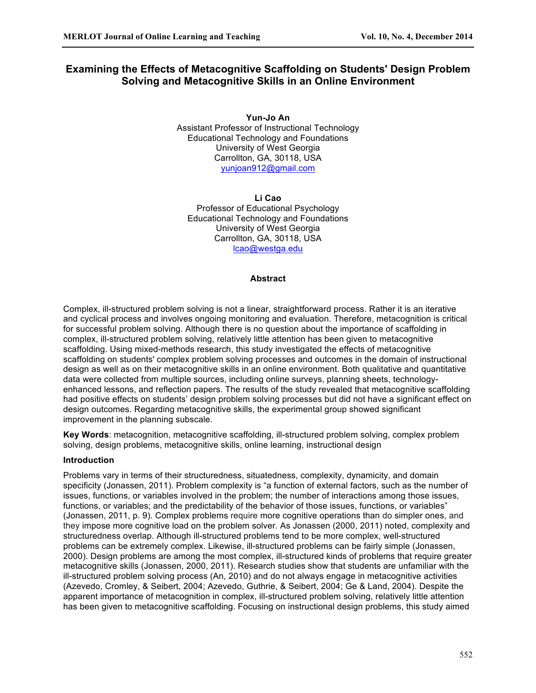# **Examining the Effects of Metacognitive Scaffolding on Students' Design Problem Solving and Metacognitive Skills in an Online Environment**

**Yun-Jo An** Assistant Professor of Instructional Technology Educational Technology and Foundations University of West Georgia Carrollton, GA, 30118, USA yunjoan912@gmail.com

**Li Cao** Professor of Educational Psychology Educational Technology and Foundations University of West Georgia Carrollton, GA, 30118, USA lcao@westga.edu

## **Abstract**

Complex, ill-structured problem solving is not a linear, straightforward process. Rather it is an iterative and cyclical process and involves ongoing monitoring and evaluation. Therefore, metacognition is critical for successful problem solving. Although there is no question about the importance of scaffolding in complex, ill-structured problem solving, relatively little attention has been given to metacognitive scaffolding. Using mixed-methods research, this study investigated the effects of metacognitive scaffolding on students' complex problem solving processes and outcomes in the domain of instructional design as well as on their metacognitive skills in an online environment. Both qualitative and quantitative data were collected from multiple sources, including online surveys, planning sheets, technologyenhanced lessons, and reflection papers. The results of the study revealed that metacognitive scaffolding had positive effects on students' design problem solving processes but did not have a significant effect on design outcomes. Regarding metacognitive skills, the experimental group showed significant improvement in the planning subscale.

**Key Words**: metacognition, metacognitive scaffolding, ill-structured problem solving, complex problem solving, design problems, metacognitive skills, online learning, instructional design

#### **Introduction**

Problems vary in terms of their structuredness, situatedness, complexity, dynamicity, and domain specificity (Jonassen, 2011). Problem complexity is "a function of external factors, such as the number of issues, functions, or variables involved in the problem; the number of interactions among those issues, functions, or variables; and the predictability of the behavior of those issues, functions, or variables" (Jonassen, 2011, p. 9). Complex problems require more cognitive operations than do simpler ones, and they impose more cognitive load on the problem solver. As Jonassen (2000, 2011) noted, complexity and structuredness overlap. Although ill-structured problems tend to be more complex, well-structured problems can be extremely complex. Likewise, ill-structured problems can be fairly simple (Jonassen, 2000). Design problems are among the most complex, ill-structured kinds of problems that require greater metacognitive skills (Jonassen, 2000, 2011). Research studies show that students are unfamiliar with the ill-structured problem solving process (An, 2010) and do not always engage in metacognitive activities (Azevedo, Cromley, & Seibert, 2004; Azevedo, Guthrie, & Seibert, 2004; Ge & Land, 2004). Despite the apparent importance of metacognition in complex, ill-structured problem solving, relatively little attention has been given to metacognitive scaffolding. Focusing on instructional design problems, this study aimed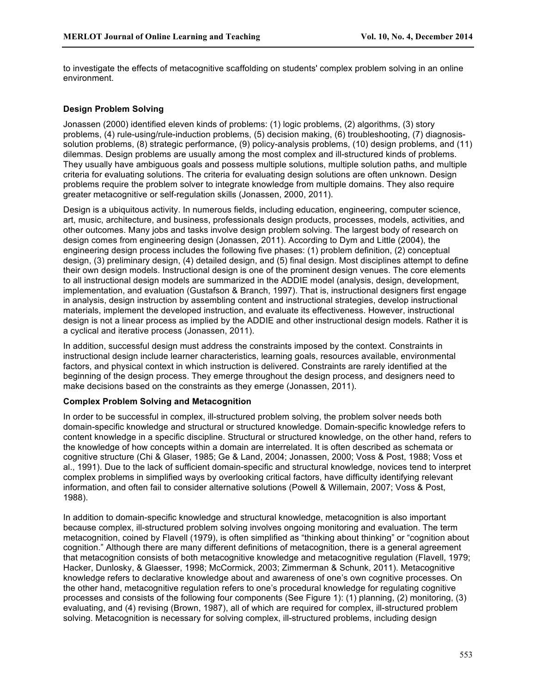to investigate the effects of metacognitive scaffolding on students' complex problem solving in an online environment.

#### **Design Problem Solving**

Jonassen (2000) identified eleven kinds of problems: (1) logic problems, (2) algorithms, (3) story problems, (4) rule-using/rule-induction problems, (5) decision making, (6) troubleshooting, (7) diagnosissolution problems, (8) strategic performance, (9) policy-analysis problems, (10) design problems, and (11) dilemmas. Design problems are usually among the most complex and ill-structured kinds of problems. They usually have ambiguous goals and possess multiple solutions, multiple solution paths, and multiple criteria for evaluating solutions. The criteria for evaluating design solutions are often unknown. Design problems require the problem solver to integrate knowledge from multiple domains. They also require greater metacognitive or self-regulation skills (Jonassen, 2000, 2011).

Design is a ubiquitous activity. In numerous fields, including education, engineering, computer science, art, music, architecture, and business, professionals design products, processes, models, activities, and other outcomes. Many jobs and tasks involve design problem solving. The largest body of research on design comes from engineering design (Jonassen, 2011). According to Dym and Little (2004), the engineering design process includes the following five phases: (1) problem definition, (2) conceptual design, (3) preliminary design, (4) detailed design, and (5) final design. Most disciplines attempt to define their own design models. Instructional design is one of the prominent design venues. The core elements to all instructional design models are summarized in the ADDIE model (analysis, design, development, implementation, and evaluation (Gustafson & Branch, 1997). That is, instructional designers first engage in analysis, design instruction by assembling content and instructional strategies, develop instructional materials, implement the developed instruction, and evaluate its effectiveness. However, instructional design is not a linear process as implied by the ADDIE and other instructional design models. Rather it is a cyclical and iterative process (Jonassen, 2011).

In addition, successful design must address the constraints imposed by the context. Constraints in instructional design include learner characteristics, learning goals, resources available, environmental factors, and physical context in which instruction is delivered. Constraints are rarely identified at the beginning of the design process. They emerge throughout the design process, and designers need to make decisions based on the constraints as they emerge (Jonassen, 2011).

### **Complex Problem Solving and Metacognition**

In order to be successful in complex, ill-structured problem solving, the problem solver needs both domain-specific knowledge and structural or structured knowledge. Domain-specific knowledge refers to content knowledge in a specific discipline. Structural or structured knowledge, on the other hand, refers to the knowledge of how concepts within a domain are interrelated. It is often described as schemata or cognitive structure (Chi & Glaser, 1985; Ge & Land, 2004; Jonassen, 2000; Voss & Post, 1988; Voss et al., 1991). Due to the lack of sufficient domain-specific and structural knowledge, novices tend to interpret complex problems in simplified ways by overlooking critical factors, have difficulty identifying relevant information, and often fail to consider alternative solutions (Powell & Willemain, 2007; Voss & Post, 1988).

In addition to domain-specific knowledge and structural knowledge, metacognition is also important because complex, ill-structured problem solving involves ongoing monitoring and evaluation. The term metacognition, coined by Flavell (1979), is often simplified as "thinking about thinking" or "cognition about cognition." Although there are many different definitions of metacognition, there is a general agreement that metacognition consists of both metacognitive knowledge and metacognitive regulation (Flavell, 1979; Hacker, Dunlosky, & Glaesser, 1998; McCormick, 2003; Zimmerman & Schunk, 2011). Metacognitive knowledge refers to declarative knowledge about and awareness of one's own cognitive processes. On the other hand, metacognitive regulation refers to one's procedural knowledge for regulating cognitive processes and consists of the following four components (See Figure 1): (1) planning, (2) monitoring, (3) evaluating, and (4) revising (Brown, 1987), all of which are required for complex, ill-structured problem solving. Metacognition is necessary for solving complex, ill-structured problems, including design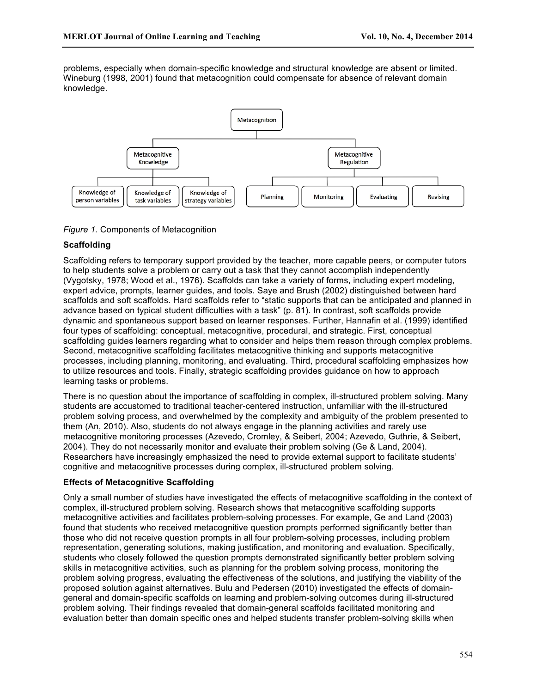problems, especially when domain-specific knowledge and structural knowledge are absent or limited. Wineburg (1998, 2001) found that metacognition could compensate for absence of relevant domain knowledge.



*Figure 1.* Components of Metacognition

# **Scaffolding**

Scaffolding refers to temporary support provided by the teacher, more capable peers, or computer tutors to help students solve a problem or carry out a task that they cannot accomplish independently (Vygotsky, 1978; Wood et al., 1976). Scaffolds can take a variety of forms, including expert modeling, expert advice, prompts, learner guides, and tools. Saye and Brush (2002) distinguished between hard scaffolds and soft scaffolds. Hard scaffolds refer to "static supports that can be anticipated and planned in advance based on typical student difficulties with a task" (p. 81). In contrast, soft scaffolds provide dynamic and spontaneous support based on learner responses. Further, Hannafin et al. (1999) identified four types of scaffolding: conceptual, metacognitive, procedural, and strategic. First, conceptual scaffolding guides learners regarding what to consider and helps them reason through complex problems. Second, metacognitive scaffolding facilitates metacognitive thinking and supports metacognitive processes, including planning, monitoring, and evaluating. Third, procedural scaffolding emphasizes how to utilize resources and tools. Finally, strategic scaffolding provides guidance on how to approach learning tasks or problems.

There is no question about the importance of scaffolding in complex, ill-structured problem solving. Many students are accustomed to traditional teacher-centered instruction, unfamiliar with the ill-structured problem solving process, and overwhelmed by the complexity and ambiguity of the problem presented to them (An, 2010). Also, students do not always engage in the planning activities and rarely use metacognitive monitoring processes (Azevedo, Cromley, & Seibert, 2004; Azevedo, Guthrie, & Seibert, 2004). They do not necessarily monitor and evaluate their problem solving (Ge & Land, 2004). Researchers have increasingly emphasized the need to provide external support to facilitate students' cognitive and metacognitive processes during complex, ill-structured problem solving.

# **Effects of Metacognitive Scaffolding**

Only a small number of studies have investigated the effects of metacognitive scaffolding in the context of complex, ill-structured problem solving. Research shows that metacognitive scaffolding supports metacognitive activities and facilitates problem-solving processes. For example, Ge and Land (2003) found that students who received metacognitive question prompts performed significantly better than those who did not receive question prompts in all four problem-solving processes, including problem representation, generating solutions, making justification, and monitoring and evaluation. Specifically, students who closely followed the question prompts demonstrated significantly better problem solving skills in metacognitive activities, such as planning for the problem solving process, monitoring the problem solving progress, evaluating the effectiveness of the solutions, and justifying the viability of the proposed solution against alternatives. Bulu and Pedersen (2010) investigated the effects of domaingeneral and domain-specific scaffolds on learning and problem-solving outcomes during ill-structured problem solving. Their findings revealed that domain-general scaffolds facilitated monitoring and evaluation better than domain specific ones and helped students transfer problem-solving skills when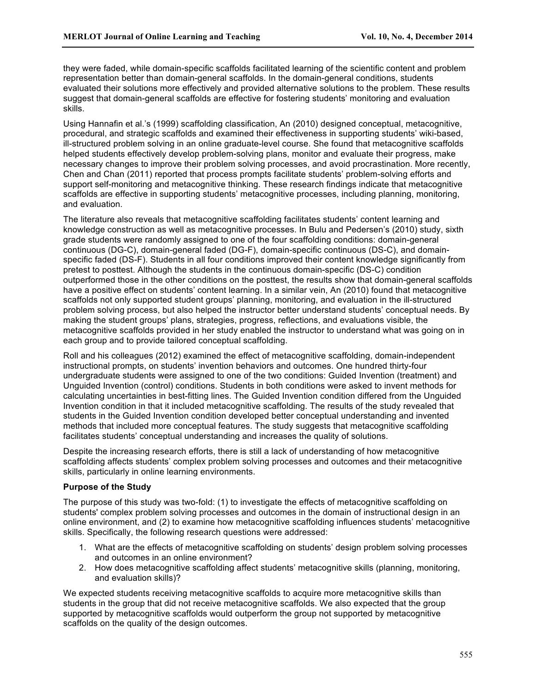they were faded, while domain-specific scaffolds facilitated learning of the scientific content and problem representation better than domain-general scaffolds. In the domain-general conditions, students evaluated their solutions more effectively and provided alternative solutions to the problem. These results suggest that domain-general scaffolds are effective for fostering students' monitoring and evaluation skills.

Using Hannafin et al.'s (1999) scaffolding classification, An (2010) designed conceptual, metacognitive, procedural, and strategic scaffolds and examined their effectiveness in supporting students' wiki-based, ill-structured problem solving in an online graduate-level course. She found that metacognitive scaffolds helped students effectively develop problem-solving plans, monitor and evaluate their progress, make necessary changes to improve their problem solving processes, and avoid procrastination. More recently, Chen and Chan (2011) reported that process prompts facilitate students' problem-solving efforts and support self-monitoring and metacognitive thinking. These research findings indicate that metacognitive scaffolds are effective in supporting students' metacognitive processes, including planning, monitoring, and evaluation.

The literature also reveals that metacognitive scaffolding facilitates students' content learning and knowledge construction as well as metacognitive processes. In Bulu and Pedersen's (2010) study, sixth grade students were randomly assigned to one of the four scaffolding conditions: domain-general continuous (DG-C), domain-general faded (DG-F), domain-specific continuous (DS-C), and domainspecific faded (DS-F). Students in all four conditions improved their content knowledge significantly from pretest to posttest. Although the students in the continuous domain-specific (DS-C) condition outperformed those in the other conditions on the posttest, the results show that domain-general scaffolds have a positive effect on students' content learning. In a similar vein, An (2010) found that metacognitive scaffolds not only supported student groups' planning, monitoring, and evaluation in the ill-structured problem solving process, but also helped the instructor better understand students' conceptual needs. By making the student groups' plans, strategies, progress, reflections, and evaluations visible, the metacognitive scaffolds provided in her study enabled the instructor to understand what was going on in each group and to provide tailored conceptual scaffolding.

Roll and his colleagues (2012) examined the effect of metacognitive scaffolding, domain-independent instructional prompts, on students' invention behaviors and outcomes. One hundred thirty-four undergraduate students were assigned to one of the two conditions: Guided Invention (treatment) and Unguided Invention (control) conditions. Students in both conditions were asked to invent methods for calculating uncertainties in best-fitting lines. The Guided Invention condition differed from the Unguided Invention condition in that it included metacognitive scaffolding. The results of the study revealed that students in the Guided Invention condition developed better conceptual understanding and invented methods that included more conceptual features. The study suggests that metacognitive scaffolding facilitates students' conceptual understanding and increases the quality of solutions.

Despite the increasing research efforts, there is still a lack of understanding of how metacognitive scaffolding affects students' complex problem solving processes and outcomes and their metacognitive skills, particularly in online learning environments.

# **Purpose of the Study**

The purpose of this study was two-fold: (1) to investigate the effects of metacognitive scaffolding on students' complex problem solving processes and outcomes in the domain of instructional design in an online environment, and (2) to examine how metacognitive scaffolding influences students' metacognitive skills. Specifically, the following research questions were addressed:

- 1. What are the effects of metacognitive scaffolding on students' design problem solving processes and outcomes in an online environment?
- 2. How does metacognitive scaffolding affect students' metacognitive skills (planning, monitoring, and evaluation skills)?

We expected students receiving metacognitive scaffolds to acquire more metacognitive skills than students in the group that did not receive metacognitive scaffolds. We also expected that the group supported by metacognitive scaffolds would outperform the group not supported by metacognitive scaffolds on the quality of the design outcomes.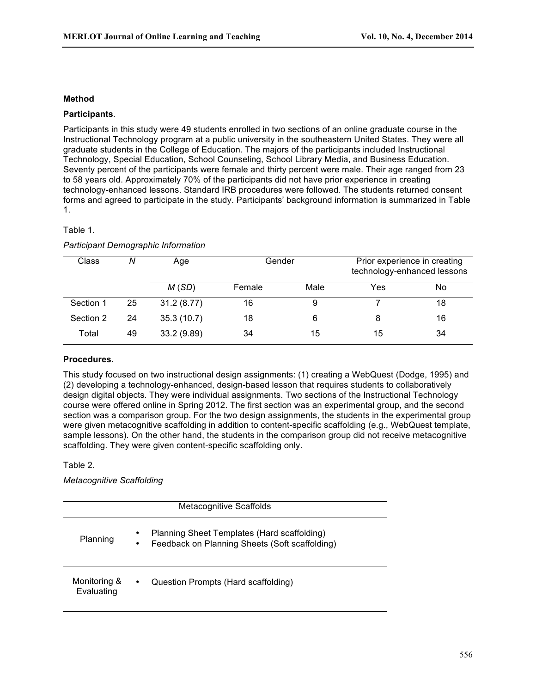# **Method**

## **Participants***.*

Participants in this study were 49 students enrolled in two sections of an online graduate course in the Instructional Technology program at a public university in the southeastern United States. They were all graduate students in the College of Education. The majors of the participants included Instructional Technology, Special Education, School Counseling, School Library Media, and Business Education. Seventy percent of the participants were female and thirty percent were male. Their age ranged from 23 to 58 years old. Approximately 70% of the participants did not have prior experience in creating technology-enhanced lessons. Standard IRB procedures were followed. The students returned consent forms and agreed to participate in the study. Participants' background information is summarized in Table 1.

## Table 1.

# *Participant Demographic Information*

| Class     | N  | Age         | Gender |      | Prior experience in creating | technology-enhanced lessons |
|-----------|----|-------------|--------|------|------------------------------|-----------------------------|
|           |    | M(SD)       | Female | Male | Yes                          | No                          |
| Section 1 | 25 | 31.2(8.77)  | 16     | 9    |                              | 18                          |
| Section 2 | 24 | 35.3(10.7)  | 18     | 6    |                              | 16                          |
| Total     | 49 | 33.2 (9.89) | 34     | 15   | 15                           | 34                          |

# **Procedures.**

This study focused on two instructional design assignments: (1) creating a WebQuest (Dodge, 1995) and (2) developing a technology-enhanced, design-based lesson that requires students to collaboratively design digital objects. They were individual assignments. Two sections of the Instructional Technology course were offered online in Spring 2012. The first section was an experimental group, and the second section was a comparison group. For the two design assignments, the students in the experimental group were given metacognitive scaffolding in addition to content-specific scaffolding (e.g., WebQuest template, sample lessons). On the other hand, the students in the comparison group did not receive metacognitive scaffolding. They were given content-specific scaffolding only.

Table 2.

*Metacognitive Scaffolding*

| <b>Metacognitive Scaffolds</b> |                                                                                                         |  |  |
|--------------------------------|---------------------------------------------------------------------------------------------------------|--|--|
| Planning                       | Planning Sheet Templates (Hard scaffolding)<br>٠<br>Feedback on Planning Sheets (Soft scaffolding)<br>٠ |  |  |
| Monitoring &<br>Evaluating     | Question Prompts (Hard scaffolding)<br>٠                                                                |  |  |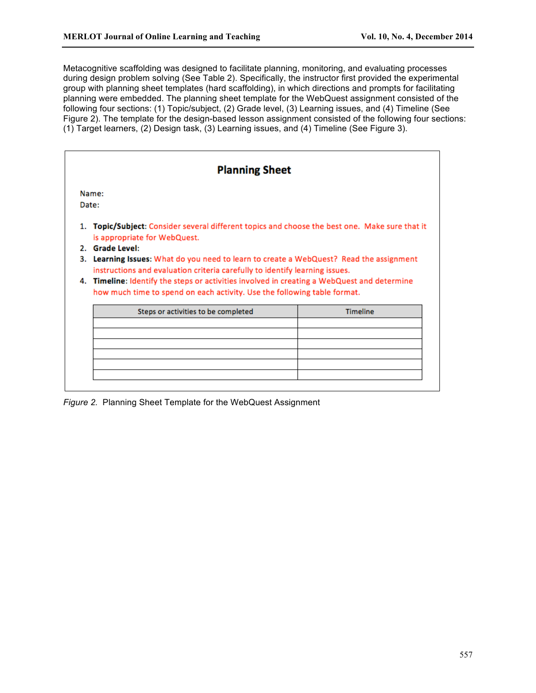Metacognitive scaffolding was designed to facilitate planning, monitoring, and evaluating processes during design problem solving (See Table 2). Specifically, the instructor first provided the experimental group with planning sheet templates (hard scaffolding), in which directions and prompts for facilitating planning were embedded. The planning sheet template for the WebQuest assignment consisted of the following four sections: (1) Topic/subject, (2) Grade level, (3) Learning issues, and (4) Timeline (See Figure 2). The template for the design-based lesson assignment consisted of the following four sections: (1) Target learners, (2) Design task, (3) Learning issues, and (4) Timeline (See Figure 3).

|    | <b>Planning Sheet</b><br>Name:                                                                                                                                      |                 |  |  |
|----|---------------------------------------------------------------------------------------------------------------------------------------------------------------------|-----------------|--|--|
|    |                                                                                                                                                                     |                 |  |  |
|    | Date:                                                                                                                                                               |                 |  |  |
| 1. | Topic/Subject: Consider several different topics and choose the best one. Make sure that it<br>is appropriate for WebQuest.                                         |                 |  |  |
|    | 2. Grade Level:                                                                                                                                                     |                 |  |  |
|    |                                                                                                                                                                     |                 |  |  |
|    | Learning Issues: What do you need to learn to create a WebQuest? Read the assignment<br>instructions and evaluation criteria carefully to identify learning issues. |                 |  |  |
|    | 4. Timeline: Identify the steps or activities involved in creating a WebQuest and determine                                                                         |                 |  |  |
|    | how much time to spend on each activity. Use the following table format.                                                                                            |                 |  |  |
| 3. | Steps or activities to be completed                                                                                                                                 | <b>Timeline</b> |  |  |
|    |                                                                                                                                                                     |                 |  |  |
|    |                                                                                                                                                                     |                 |  |  |

*Figure 2.* Planning Sheet Template for the WebQuest Assignment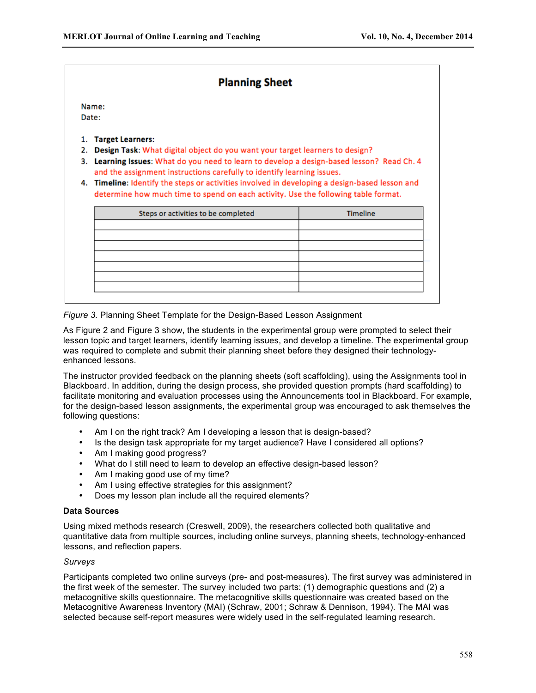# **Planning Sheet**

Name:

Date:

- 1. Target Learners:
- 2. Design Task: What digital object do you want your target learners to design?
- 3. Learning Issues: What do you need to learn to develop a design-based lesson? Read Ch. 4 and the assignment instructions carefully to identify learning issues.
- 4. Timeline: Identify the steps or activities involved in developing a design-based lesson and determine how much time to spend on each activity. Use the following table format.

| Steps or activities to be completed | Timeline |
|-------------------------------------|----------|
|                                     |          |
|                                     |          |
|                                     |          |
|                                     |          |
|                                     |          |
|                                     |          |
|                                     |          |

*Figure 3.* Planning Sheet Template for the Design-Based Lesson Assignment

As Figure 2 and Figure 3 show, the students in the experimental group were prompted to select their lesson topic and target learners, identify learning issues, and develop a timeline. The experimental group was required to complete and submit their planning sheet before they designed their technologyenhanced lessons.

The instructor provided feedback on the planning sheets (soft scaffolding), using the Assignments tool in Blackboard. In addition, during the design process, she provided question prompts (hard scaffolding) to facilitate monitoring and evaluation processes using the Announcements tool in Blackboard. For example, for the design-based lesson assignments, the experimental group was encouraged to ask themselves the following questions:

- Am I on the right track? Am I developing a lesson that is design-based?
- Is the design task appropriate for my target audience? Have I considered all options?
- Am I making good progress?<br>• What do I still peed to learn to
- What do I still need to learn to develop an effective design-based lesson?
- Am I making good use of my time?
- Am I using effective strategies for this assignment?
- Does my lesson plan include all the required elements?

# **Data Sources**

Using mixed methods research (Creswell, 2009), the researchers collected both qualitative and quantitative data from multiple sources, including online surveys, planning sheets, technology-enhanced lessons, and reflection papers.

# *Surveys*

Participants completed two online surveys (pre- and post-measures). The first survey was administered in the first week of the semester. The survey included two parts: (1) demographic questions and (2) a metacognitive skills questionnaire. The metacognitive skills questionnaire was created based on the Metacognitive Awareness Inventory (MAI) (Schraw, 2001; Schraw & Dennison, 1994). The MAI was selected because self-report measures were widely used in the self-regulated learning research.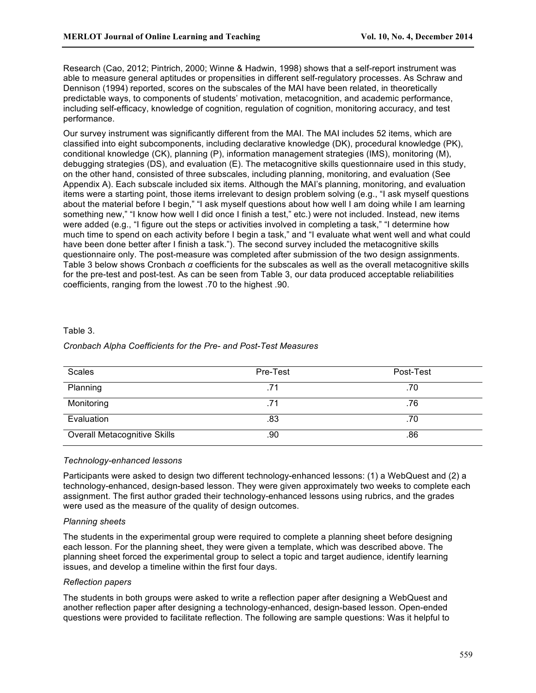Research (Cao, 2012; Pintrich, 2000; Winne & Hadwin, 1998) shows that a self-report instrument was able to measure general aptitudes or propensities in different self-regulatory processes. As Schraw and Dennison (1994) reported, scores on the subscales of the MAI have been related, in theoretically predictable ways, to components of students' motivation, metacognition, and academic performance, including self-efficacy, knowledge of cognition, regulation of cognition, monitoring accuracy, and test performance.

Our survey instrument was significantly different from the MAI. The MAI includes 52 items, which are classified into eight subcomponents, including declarative knowledge (DK), procedural knowledge (PK), conditional knowledge (CK), planning (P), information management strategies (IMS), monitoring (M), debugging strategies (DS), and evaluation (E). The metacognitive skills questionnaire used in this study, on the other hand, consisted of three subscales, including planning, monitoring, and evaluation (See Appendix A). Each subscale included six items. Although the MAI's planning, monitoring, and evaluation items were a starting point, those items irrelevant to design problem solving (e.g., "I ask myself questions about the material before I begin," "I ask myself questions about how well I am doing while I am learning something new," "I know how well I did once I finish a test," etc.) were not included. Instead, new items were added (e.g., "I figure out the steps or activities involved in completing a task," "I determine how much time to spend on each activity before I begin a task," and "I evaluate what went well and what could have been done better after I finish a task."). The second survey included the metacognitive skills questionnaire only. The post-measure was completed after submission of the two design assignments. Table 3 below shows Cronbach *α* coefficients for the subscales as well as the overall metacognitive skills for the pre-test and post-test. As can be seen from Table 3, our data produced acceptable reliabilities coefficients, ranging from the lowest .70 to the highest .90.

# Table 3.

#### *Cronbach Alpha Coefficients for the Pre- and Post-Test Measures*

| <b>Scales</b>                       | Pre-Test | Post-Test |
|-------------------------------------|----------|-----------|
| Planning                            |          | .70       |
| Monitoring                          |          | .76       |
| Evaluation                          | .83      | .70       |
| <b>Overall Metacognitive Skills</b> | .90      | .86       |

## *Technology-enhanced lessons*

Participants were asked to design two different technology-enhanced lessons: (1) a WebQuest and (2) a technology-enhanced, design-based lesson. They were given approximately two weeks to complete each assignment. The first author graded their technology-enhanced lessons using rubrics, and the grades were used as the measure of the quality of design outcomes.

#### *Planning sheets*

The students in the experimental group were required to complete a planning sheet before designing each lesson. For the planning sheet, they were given a template, which was described above. The planning sheet forced the experimental group to select a topic and target audience, identify learning issues, and develop a timeline within the first four days.

# *Reflection papers*

The students in both groups were asked to write a reflection paper after designing a WebQuest and another reflection paper after designing a technology-enhanced, design-based lesson. Open-ended questions were provided to facilitate reflection. The following are sample questions: Was it helpful to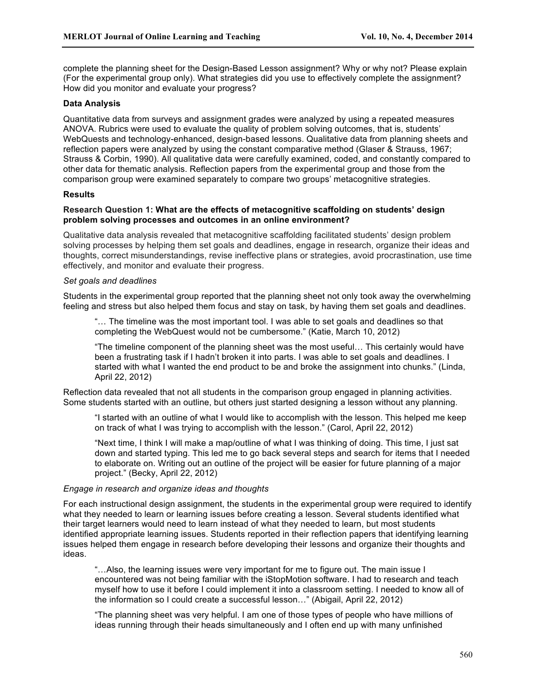complete the planning sheet for the Design-Based Lesson assignment? Why or why not? Please explain (For the experimental group only). What strategies did you use to effectively complete the assignment? How did you monitor and evaluate your progress?

# **Data Analysis**

Quantitative data from surveys and assignment grades were analyzed by using a repeated measures ANOVA. Rubrics were used to evaluate the quality of problem solving outcomes, that is, students' WebQuests and technology-enhanced, design-based lessons. Qualitative data from planning sheets and reflection papers were analyzed by using the constant comparative method (Glaser & Strauss, 1967; Strauss & Corbin, 1990). All qualitative data were carefully examined, coded, and constantly compared to other data for thematic analysis. Reflection papers from the experimental group and those from the comparison group were examined separately to compare two groups' metacognitive strategies.

## **Results**

## **Research Question 1: What are the effects of metacognitive scaffolding on students' design problem solving processes and outcomes in an online environment?**

Qualitative data analysis revealed that metacognitive scaffolding facilitated students' design problem solving processes by helping them set goals and deadlines, engage in research, organize their ideas and thoughts, correct misunderstandings, revise ineffective plans or strategies, avoid procrastination, use time effectively, and monitor and evaluate their progress.

#### *Set goals and deadlines*

Students in the experimental group reported that the planning sheet not only took away the overwhelming feeling and stress but also helped them focus and stay on task, by having them set goals and deadlines.

"… The timeline was the most important tool. I was able to set goals and deadlines so that completing the WebQuest would not be cumbersome." (Katie, March 10, 2012)

"The timeline component of the planning sheet was the most useful… This certainly would have been a frustrating task if I hadn't broken it into parts. I was able to set goals and deadlines. I started with what I wanted the end product to be and broke the assignment into chunks." (Linda, April 22, 2012)

Reflection data revealed that not all students in the comparison group engaged in planning activities. Some students started with an outline, but others just started designing a lesson without any planning.

"I started with an outline of what I would like to accomplish with the lesson. This helped me keep on track of what I was trying to accomplish with the lesson." (Carol, April 22, 2012)

"Next time, I think I will make a map/outline of what I was thinking of doing. This time, I just sat down and started typing. This led me to go back several steps and search for items that I needed to elaborate on. Writing out an outline of the project will be easier for future planning of a major project." (Becky, April 22, 2012)

### *Engage in research and organize ideas and thoughts*

For each instructional design assignment, the students in the experimental group were required to identify what they needed to learn or learning issues before creating a lesson. Several students identified what their target learners would need to learn instead of what they needed to learn, but most students identified appropriate learning issues. Students reported in their reflection papers that identifying learning issues helped them engage in research before developing their lessons and organize their thoughts and ideas.

"…Also, the learning issues were very important for me to figure out. The main issue I encountered was not being familiar with the iStopMotion software. I had to research and teach myself how to use it before I could implement it into a classroom setting. I needed to know all of the information so I could create a successful lesson…" (Abigail, April 22, 2012)

"The planning sheet was very helpful. I am one of those types of people who have millions of ideas running through their heads simultaneously and I often end up with many unfinished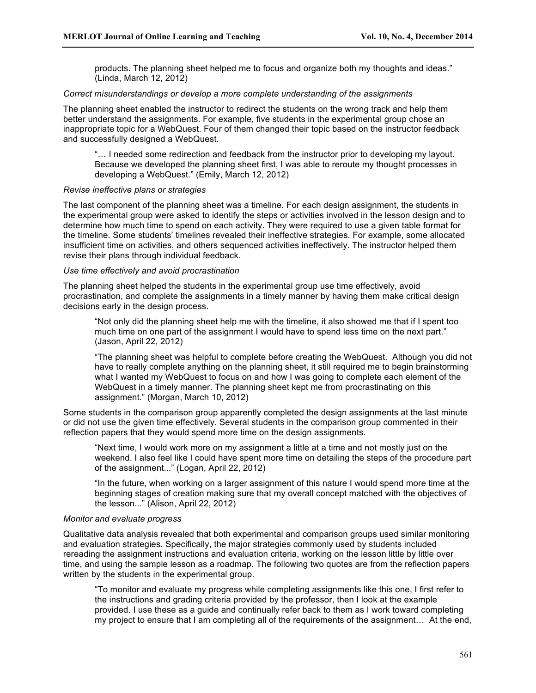products. The planning sheet helped me to focus and organize both my thoughts and ideas." (Linda, March 12, 2012)

## *Correct misunderstandings or develop a more complete understanding of the assignments*

The planning sheet enabled the instructor to redirect the students on the wrong track and help them better understand the assignments. For example, five students in the experimental group chose an inappropriate topic for a WebQuest. Four of them changed their topic based on the instructor feedback and successfully designed a WebQuest.

"… I needed some redirection and feedback from the instructor prior to developing my layout. Because we developed the planning sheet first, I was able to reroute my thought processes in developing a WebQuest." (Emily, March 12, 2012)

#### *Revise ineffective plans or strategies*

The last component of the planning sheet was a timeline. For each design assignment, the students in the experimental group were asked to identify the steps or activities involved in the lesson design and to determine how much time to spend on each activity. They were required to use a given table format for the timeline. Some students' timelines revealed their ineffective strategies. For example, some allocated insufficient time on activities, and others sequenced activities ineffectively. The instructor helped them revise their plans through individual feedback.

#### *Use time effectively and avoid procrastination*

The planning sheet helped the students in the experimental group use time effectively, avoid procrastination, and complete the assignments in a timely manner by having them make critical design decisions early in the design process.

"Not only did the planning sheet help me with the timeline, it also showed me that if I spent too much time on one part of the assignment I would have to spend less time on the next part." (Jason, April 22, 2012)

"The planning sheet was helpful to complete before creating the WebQuest. Although you did not have to really complete anything on the planning sheet, it still required me to begin brainstorming what I wanted my WebQuest to focus on and how I was going to complete each element of the WebQuest in a timely manner. The planning sheet kept me from procrastinating on this assignment." (Morgan, March 10, 2012)

Some students in the comparison group apparently completed the design assignments at the last minute or did not use the given time effectively. Several students in the comparison group commented in their reflection papers that they would spend more time on the design assignments.

"Next time, I would work more on my assignment a little at a time and not mostly just on the weekend. I also feel like I could have spent more time on detailing the steps of the procedure part of the assignment..." (Logan, April 22, 2012)

"In the future, when working on a larger assignment of this nature I would spend more time at the beginning stages of creation making sure that my overall concept matched with the objectives of the lesson..." (Alison, April 22, 2012)

### *Monitor and evaluate progress*

Qualitative data analysis revealed that both experimental and comparison groups used similar monitoring and evaluation strategies. Specifically, the major strategies commonly used by students included rereading the assignment instructions and evaluation criteria, working on the lesson little by little over time, and using the sample lesson as a roadmap. The following two quotes are from the reflection papers written by the students in the experimental group.

"To monitor and evaluate my progress while completing assignments like this one, I first refer to the instructions and grading criteria provided by the professor, then I look at the example provided. I use these as a guide and continually refer back to them as I work toward completing my project to ensure that I am completing all of the requirements of the assignment… At the end,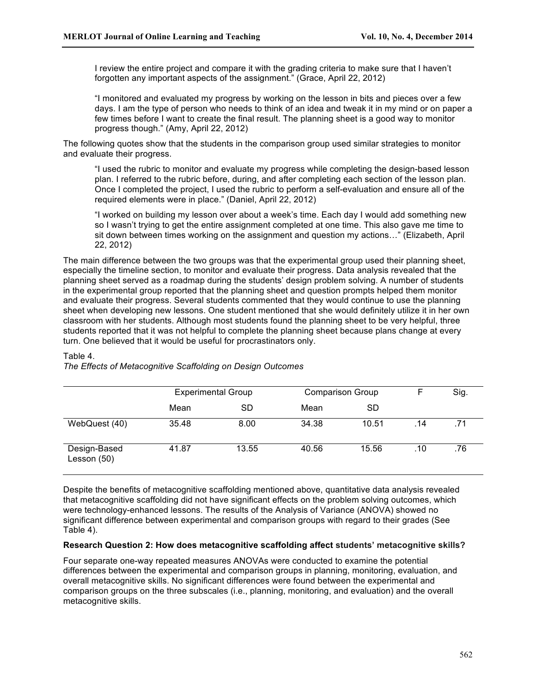I review the entire project and compare it with the grading criteria to make sure that I haven't forgotten any important aspects of the assignment." (Grace, April 22, 2012)

"I monitored and evaluated my progress by working on the lesson in bits and pieces over a few days. I am the type of person who needs to think of an idea and tweak it in my mind or on paper a few times before I want to create the final result. The planning sheet is a good way to monitor progress though." (Amy, April 22, 2012)

The following quotes show that the students in the comparison group used similar strategies to monitor and evaluate their progress.

"I used the rubric to monitor and evaluate my progress while completing the design-based lesson plan. I referred to the rubric before, during, and after completing each section of the lesson plan. Once I completed the project, I used the rubric to perform a self-evaluation and ensure all of the required elements were in place." (Daniel, April 22, 2012)

"I worked on building my lesson over about a week's time. Each day I would add something new so I wasn't trying to get the entire assignment completed at one time. This also gave me time to sit down between times working on the assignment and question my actions…" (Elizabeth, April 22, 2012)

The main difference between the two groups was that the experimental group used their planning sheet, especially the timeline section, to monitor and evaluate their progress. Data analysis revealed that the planning sheet served as a roadmap during the students' design problem solving. A number of students in the experimental group reported that the planning sheet and question prompts helped them monitor and evaluate their progress. Several students commented that they would continue to use the planning sheet when developing new lessons. One student mentioned that she would definitely utilize it in her own classroom with her students. Although most students found the planning sheet to be very helpful, three students reported that it was not helpful to complete the planning sheet because plans change at every turn. One believed that it would be useful for procrastinators only.

### Table 4.

*The Effects of Metacognitive Scaffolding on Design Outcomes*

|                             | <b>Experimental Group</b> |       | <b>Comparison Group</b> |       |     | Sig. |
|-----------------------------|---------------------------|-------|-------------------------|-------|-----|------|
|                             | Mean                      | SD    | Mean                    | SD    |     |      |
| WebQuest (40)               | 35.48                     | 8.00  | 34.38                   | 10.51 | .14 | .71  |
| Design-Based<br>Lesson (50) | 41.87                     | 13.55 | 40.56                   | 15.56 | .10 | .76  |

Despite the benefits of metacognitive scaffolding mentioned above, quantitative data analysis revealed that metacognitive scaffolding did not have significant effects on the problem solving outcomes, which were technology-enhanced lessons. The results of the Analysis of Variance (ANOVA) showed no significant difference between experimental and comparison groups with regard to their grades (See Table 4).

#### **Research Question 2: How does metacognitive scaffolding affect students' metacognitive skills?**

Four separate one-way repeated measures ANOVAs were conducted to examine the potential differences between the experimental and comparison groups in planning, monitoring, evaluation, and overall metacognitive skills. No significant differences were found between the experimental and comparison groups on the three subscales (i.e., planning, monitoring, and evaluation) and the overall metacognitive skills.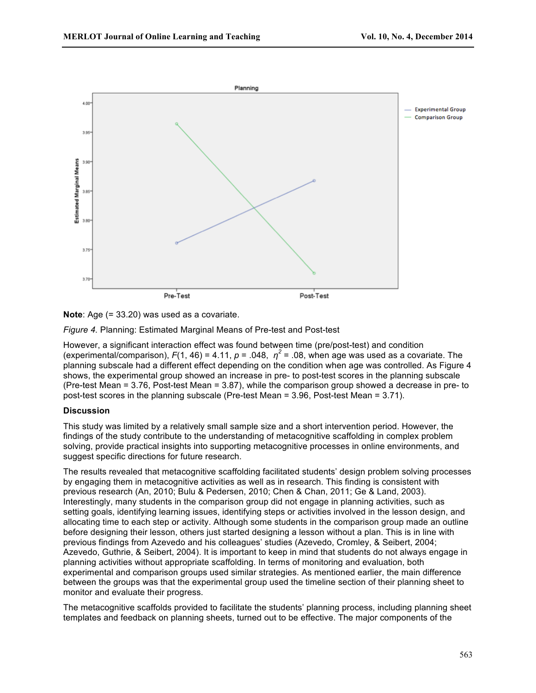

**Note:** Age (= 33.20) was used as a covariate.

*Figure 4.* Planning: Estimated Marginal Means of Pre-test and Post-test

However, a significant interaction effect was found between time (pre/post-test) and condition (experimental/comparison),  $F(1, 46) = 4.11$ ,  $p = .048$ ,  $p^2 = .08$ , when age was used as a covariate. The planning subscale had a different effect depending on the condition when age was controlled. As Figure 4 shows, the experimental group showed an increase in pre- to post-test scores in the planning subscale (Pre-test Mean = 3.76, Post-test Mean = 3.87), while the comparison group showed a decrease in pre- to post-test scores in the planning subscale (Pre-test Mean = 3.96, Post-test Mean = 3.71).

# **Discussion**

This study was limited by a relatively small sample size and a short intervention period. However, the findings of the study contribute to the understanding of metacognitive scaffolding in complex problem solving, provide practical insights into supporting metacognitive processes in online environments, and suggest specific directions for future research.

The results revealed that metacognitive scaffolding facilitated students' design problem solving processes by engaging them in metacognitive activities as well as in research. This finding is consistent with previous research (An, 2010; Bulu & Pedersen, 2010; Chen & Chan, 2011; Ge & Land, 2003). Interestingly, many students in the comparison group did not engage in planning activities, such as setting goals, identifying learning issues, identifying steps or activities involved in the lesson design, and allocating time to each step or activity. Although some students in the comparison group made an outline before designing their lesson, others just started designing a lesson without a plan. This is in line with previous findings from Azevedo and his colleagues' studies (Azevedo, Cromley, & Seibert, 2004; Azevedo, Guthrie, & Seibert, 2004). It is important to keep in mind that students do not always engage in planning activities without appropriate scaffolding. In terms of monitoring and evaluation, both experimental and comparison groups used similar strategies. As mentioned earlier, the main difference between the groups was that the experimental group used the timeline section of their planning sheet to monitor and evaluate their progress.

The metacognitive scaffolds provided to facilitate the students' planning process, including planning sheet templates and feedback on planning sheets, turned out to be effective. The major components of the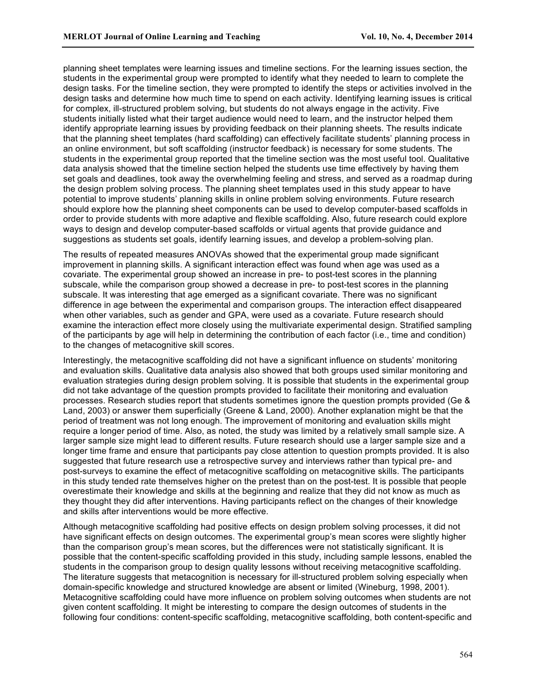planning sheet templates were learning issues and timeline sections. For the learning issues section, the students in the experimental group were prompted to identify what they needed to learn to complete the design tasks. For the timeline section, they were prompted to identify the steps or activities involved in the design tasks and determine how much time to spend on each activity. Identifying learning issues is critical for complex, ill-structured problem solving, but students do not always engage in the activity. Five students initially listed what their target audience would need to learn, and the instructor helped them identify appropriate learning issues by providing feedback on their planning sheets. The results indicate that the planning sheet templates (hard scaffolding) can effectively facilitate students' planning process in an online environment, but soft scaffolding (instructor feedback) is necessary for some students. The students in the experimental group reported that the timeline section was the most useful tool. Qualitative data analysis showed that the timeline section helped the students use time effectively by having them set goals and deadlines, took away the overwhelming feeling and stress, and served as a roadmap during the design problem solving process. The planning sheet templates used in this study appear to have potential to improve students' planning skills in online problem solving environments. Future research should explore how the planning sheet components can be used to develop computer-based scaffolds in order to provide students with more adaptive and flexible scaffolding. Also, future research could explore ways to design and develop computer-based scaffolds or virtual agents that provide guidance and suggestions as students set goals, identify learning issues, and develop a problem-solving plan.

The results of repeated measures ANOVAs showed that the experimental group made significant improvement in planning skills. A significant interaction effect was found when age was used as a covariate. The experimental group showed an increase in pre- to post-test scores in the planning subscale, while the comparison group showed a decrease in pre- to post-test scores in the planning subscale. It was interesting that age emerged as a significant covariate. There was no significant difference in age between the experimental and comparison groups. The interaction effect disappeared when other variables, such as gender and GPA, were used as a covariate. Future research should examine the interaction effect more closely using the multivariate experimental design. Stratified sampling of the participants by age will help in determining the contribution of each factor (i.e., time and condition) to the changes of metacognitive skill scores.

Interestingly, the metacognitive scaffolding did not have a significant influence on students' monitoring and evaluation skills. Qualitative data analysis also showed that both groups used similar monitoring and evaluation strategies during design problem solving. It is possible that students in the experimental group did not take advantage of the question prompts provided to facilitate their monitoring and evaluation processes. Research studies report that students sometimes ignore the question prompts provided (Ge & Land, 2003) or answer them superficially (Greene & Land, 2000). Another explanation might be that the period of treatment was not long enough. The improvement of monitoring and evaluation skills might require a longer period of time. Also, as noted, the study was limited by a relatively small sample size. A larger sample size might lead to different results. Future research should use a larger sample size and a longer time frame and ensure that participants pay close attention to question prompts provided. It is also suggested that future research use a retrospective survey and interviews rather than typical pre- and post-surveys to examine the effect of metacognitive scaffolding on metacognitive skills. The participants in this study tended rate themselves higher on the pretest than on the post-test. It is possible that people overestimate their knowledge and skills at the beginning and realize that they did not know as much as they thought they did after interventions. Having participants reflect on the changes of their knowledge and skills after interventions would be more effective.

Although metacognitive scaffolding had positive effects on design problem solving processes, it did not have significant effects on design outcomes. The experimental group's mean scores were slightly higher than the comparison group's mean scores, but the differences were not statistically significant. It is possible that the content-specific scaffolding provided in this study, including sample lessons, enabled the students in the comparison group to design quality lessons without receiving metacognitive scaffolding. The literature suggests that metacognition is necessary for ill-structured problem solving especially when domain-specific knowledge and structured knowledge are absent or limited (Wineburg, 1998, 2001). Metacognitive scaffolding could have more influence on problem solving outcomes when students are not given content scaffolding. It might be interesting to compare the design outcomes of students in the following four conditions: content-specific scaffolding, metacognitive scaffolding, both content-specific and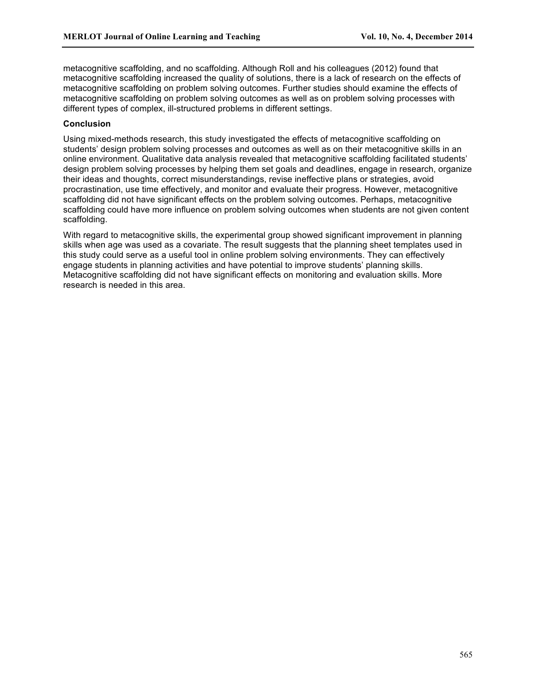metacognitive scaffolding, and no scaffolding. Although Roll and his colleagues (2012) found that metacognitive scaffolding increased the quality of solutions, there is a lack of research on the effects of metacognitive scaffolding on problem solving outcomes. Further studies should examine the effects of metacognitive scaffolding on problem solving outcomes as well as on problem solving processes with different types of complex, ill-structured problems in different settings.

## **Conclusion**

Using mixed-methods research, this study investigated the effects of metacognitive scaffolding on students' design problem solving processes and outcomes as well as on their metacognitive skills in an online environment. Qualitative data analysis revealed that metacognitive scaffolding facilitated students' design problem solving processes by helping them set goals and deadlines, engage in research, organize their ideas and thoughts, correct misunderstandings, revise ineffective plans or strategies, avoid procrastination, use time effectively, and monitor and evaluate their progress. However, metacognitive scaffolding did not have significant effects on the problem solving outcomes. Perhaps, metacognitive scaffolding could have more influence on problem solving outcomes when students are not given content scaffolding.

With regard to metacognitive skills, the experimental group showed significant improvement in planning skills when age was used as a covariate. The result suggests that the planning sheet templates used in this study could serve as a useful tool in online problem solving environments. They can effectively engage students in planning activities and have potential to improve students' planning skills. Metacognitive scaffolding did not have significant effects on monitoring and evaluation skills. More research is needed in this area.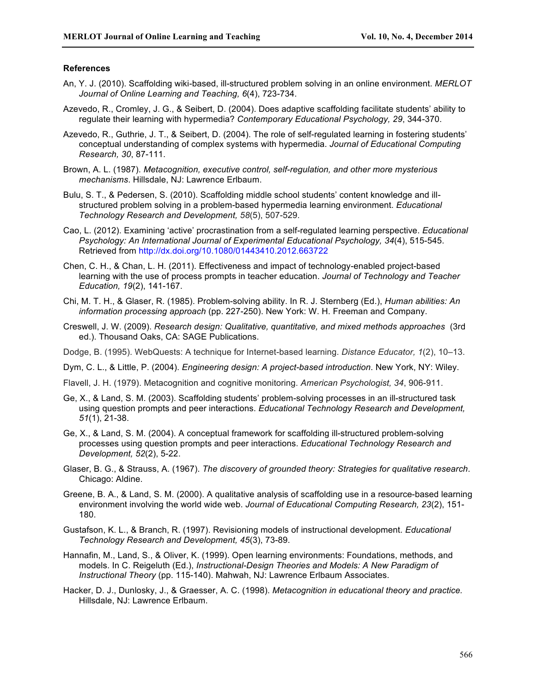### **References**

- An, Y. J. (2010). Scaffolding wiki-based, ill-structured problem solving in an online environment. *MERLOT Journal of Online Learning and Teaching, 6*(4), 723-734.
- Azevedo, R., Cromley, J. G., & Seibert, D. (2004). Does adaptive scaffolding facilitate students' ability to regulate their learning with hypermedia? *Contemporary Educational Psychology, 29*, 344-370.
- Azevedo, R., Guthrie, J. T., & Seibert, D. (2004). The role of self-regulated learning in fostering students' conceptual understanding of complex systems with hypermedia. *Journal of Educational Computing Research, 30*, 87-111.
- Brown, A. L. (1987). *Metacognition, executive control, self-regulation, and other more mysterious mechanisms*. Hillsdale, NJ: Lawrence Erlbaum.
- Bulu, S. T., & Pedersen, S. (2010). Scaffolding middle school students' content knowledge and illstructured problem solving in a problem-based hypermedia learning environment. *Educational Technology Research and Development, 58*(5), 507-529.
- Cao, L. (2012). Examining 'active' procrastination from a self-regulated learning perspective. *Educational Psychology: An International Journal of Experimental Educational Psychology, 34*(4), 515-545. Retrieved from http://dx.doi.org/10.1080/01443410.2012.663722
- Chen, C. H., & Chan, L. H. (2011). Effectiveness and impact of technology-enabled project-based learning with the use of process prompts in teacher education. *Journal of Technology and Teacher Education, 19*(2), 141-167.
- Chi, M. T. H., & Glaser, R. (1985). Problem-solving ability. In R. J. Sternberg (Ed.), *Human abilities: An information processing approach* (pp. 227-250). New York: W. H. Freeman and Company.
- Creswell, J. W. (2009). *Research design: Qualitative, quantitative, and mixed methods approaches* (3rd ed.). Thousand Oaks, CA: SAGE Publications.
- Dodge, B. (1995). WebQuests: A technique for Internet-based learning. *Distance Educator, 1*(2), 10–13.
- Dym, C. L., & Little, P. (2004). *Engineering design: A project-based introduction*. New York, NY: Wiley.
- Flavell, J. H. (1979). Metacognition and cognitive monitoring. *American Psychologist, 34*, 906-911.
- Ge, X., & Land, S. M. (2003). Scaffolding students' problem-solving processes in an ill-structured task using question prompts and peer interactions. *Educational Technology Research and Development, 51*(1), 21-38.
- Ge, X., & Land, S. M. (2004). A conceptual framework for scaffolding ill-structured problem-solving processes using question prompts and peer interactions. *Educational Technology Research and Development, 52*(2), 5-22.
- Glaser, B. G., & Strauss, A. (1967). *The discovery of grounded theory: Strategies for qualitative research*. Chicago: Aldine.
- Greene, B. A., & Land, S. M. (2000). A qualitative analysis of scaffolding use in a resource-based learning environment involving the world wide web. *Journal of Educational Computing Research, 23*(2), 151- 180.
- Gustafson, K. L., & Branch, R. (1997). Revisioning models of instructional development. *Educational Technology Research and Development, 45*(3), 73-89.
- Hannafin, M., Land, S., & Oliver, K. (1999). Open learning environments: Foundations, methods, and models. In C. Reigeluth (Ed.), *Instructional-Design Theories and Models: A New Paradigm of Instructional Theory* (pp. 115-140). Mahwah, NJ: Lawrence Erlbaum Associates.
- Hacker, D. J., Dunlosky, J., & Graesser, A. C. (1998). *Metacognition in educational theory and practice.* Hillsdale, NJ: Lawrence Erlbaum.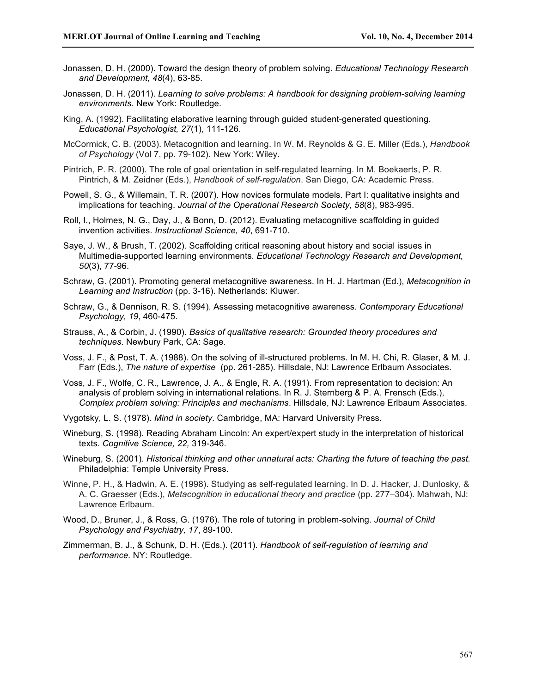- Jonassen, D. H. (2000). Toward the design theory of problem solving. *Educational Technology Research and Development, 48*(4), 63-85.
- Jonassen, D. H. (2011). *Learning to solve problems: A handbook for designing problem-solving learning environments.* New York: Routledge.
- King, A. (1992). Facilitating elaborative learning through guided student-generated questioning. *Educational Psychologist, 27*(1), 111-126.
- McCormick, C. B. (2003). Metacognition and learning. In W. M. Reynolds & G. E. Miller (Eds.), *Handbook of Psychology* (Vol 7, pp. 79-102). New York: Wiley.
- Pintrich, P. R. (2000). The role of goal orientation in self-regulated learning. In M. Boekaerts, P. R. Pintrich, & M. Zeidner (Eds.), *Handbook of self-regulation*. San Diego, CA: Academic Press.
- Powell, S. G., & Willemain, T. R. (2007). How novices formulate models. Part I: qualitative insights and implications for teaching. *Journal of the Operational Research Society, 58*(8), 983-995.
- Roll, I., Holmes, N. G., Day, J., & Bonn, D. (2012). Evaluating metacognitive scaffolding in guided invention activities. *Instructional Science, 40*, 691-710.
- Saye, J. W., & Brush, T. (2002). Scaffolding critical reasoning about history and social issues in Multimedia-supported learning environments. *Educational Technology Research and Development, 50*(3), 77-96.
- Schraw, G. (2001). Promoting general metacognitive awareness. In H. J. Hartman (Ed.), *Metacognition in Learning and Instruction* (pp. 3-16). Netherlands: Kluwer.
- Schraw, G., & Dennison, R. S. (1994). Assessing metacognitive awareness. *Contemporary Educational Psychology, 19*, 460-475.
- Strauss, A., & Corbin, J. (1990). *Basics of qualitative research: Grounded theory procedures and techniques*. Newbury Park, CA: Sage.
- Voss, J. F., & Post, T. A. (1988). On the solving of ill-structured problems. In M. H. Chi, R. Glaser, & M. J. Farr (Eds.), *The nature of expertise* (pp. 261-285). Hillsdale, NJ: Lawrence Erlbaum Associates.
- Voss, J. F., Wolfe, C. R., Lawrence, J. A., & Engle, R. A. (1991). From representation to decision: An analysis of problem solving in international relations. In R. J. Sternberg & P. A. Frensch (Eds.), *Complex problem solving: Principles and mechanisms*. Hillsdale, NJ: Lawrence Erlbaum Associates.
- Vygotsky, L. S. (1978). *Mind in society*. Cambridge, MA: Harvard University Press.
- Wineburg, S. (1998). Reading Abraham Lincoln: An expert/expert study in the interpretation of historical texts. *Cognitive Science, 22,* 319-346.
- Wineburg, S. (2001). *Historical thinking and other unnatural acts: Charting the future of teaching the past.*  Philadelphia: Temple University Press.
- Winne, P. H., & Hadwin, A. E. (1998). Studying as self-regulated learning. In D. J. Hacker, J. Dunlosky, & A. C. Graesser (Eds.), *Metacognition in educational theory and practice* (pp. 277–304). Mahwah, NJ: Lawrence Erlbaum.
- Wood, D., Bruner, J., & Ross, G. (1976). The role of tutoring in problem-solving. *Journal of Child Psychology and Psychiatry, 17*, 89-100.
- Zimmerman, B. J., & Schunk, D. H. (Eds.). (2011). *Handbook of self-regulation of learning and performance.* NY: Routledge.